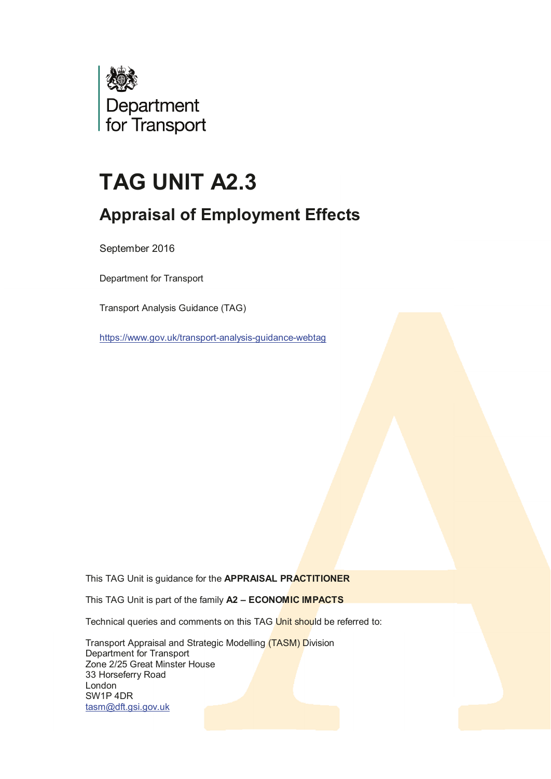

# **TAG UNIT A2.3**

## **Appraisal of Employment Effects**

September 2016

Department for Transport

Transport Analysis Guidance (TAG)

<https://www.gov.uk/transport-analysis-guidance-webtag>

This TAG Unit is guidance for the **APPRAISAL PRACTITIONER**

This TAG Unit is part of the family **A2 – ECONOMIC IMPACTS**

Technical queries and comments on this TAG Unit should be referred to:

 Transport Appraisal and Strategic Modelling (TASM) Division Department for Transport Zone 2/25 Great Minster House 33 Horseferry Road London SW1P 4DR [tasm@dft.gsi.gov.uk](mailto:tasm@dft.gsi.gov.uk)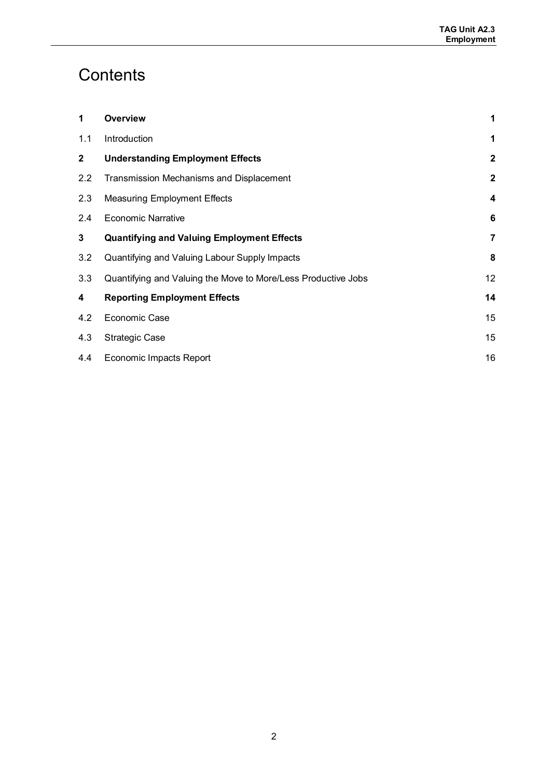## **Contents**

| 1            | <b>Overview</b>                                               | 1            |
|--------------|---------------------------------------------------------------|--------------|
| 1.1          | Introduction                                                  | 1            |
| $\mathbf{2}$ | <b>Understanding Employment Effects</b>                       | $\mathbf{2}$ |
| 2.2          | Transmission Mechanisms and Displacement                      | $\mathbf{2}$ |
| 2.3          | <b>Measuring Employment Effects</b>                           | 4            |
| 2.4          | <b>Economic Narrative</b>                                     | 6            |
| 3            | <b>Quantifying and Valuing Employment Effects</b>             | 7            |
| 3.2          | Quantifying and Valuing Labour Supply Impacts                 | 8            |
| 3.3          | Quantifying and Valuing the Move to More/Less Productive Jobs | 12           |
| 4            | <b>Reporting Employment Effects</b>                           | 14           |
| 4.2          | Economic Case                                                 | 15           |
| 4.3          | <b>Strategic Case</b>                                         | 15           |
| 4.4          | Economic Impacts Report                                       | 16           |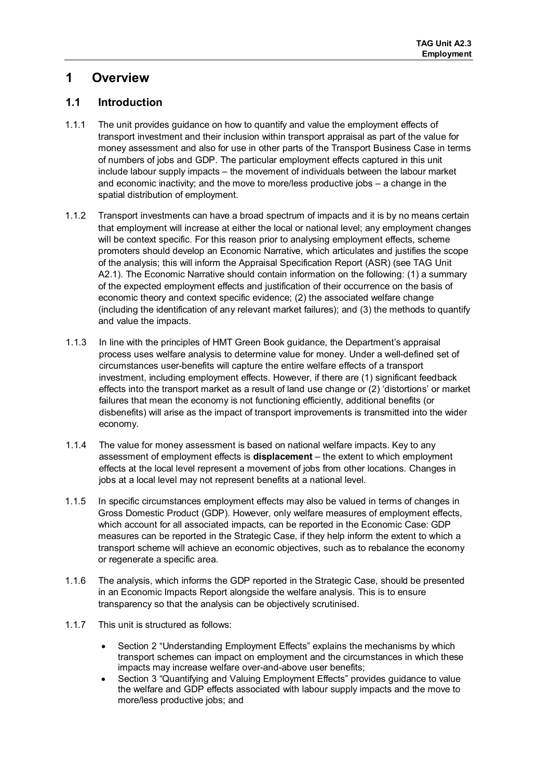## <span id="page-2-0"></span>**1 Overview**

#### <span id="page-2-1"></span>**1.1 Introduction**

- 1.1.1 The unit provides guidance on how to quantify and value the employment effects of transport investment and their inclusion within transport appraisal as part of the value for money assessment and also for use in other parts of the Transport Business Case in terms of numbers of jobs and GDP. The particular employment effects captured in this unit include labour supply impacts – the movement of individuals between the labour market and economic inactivity; and the move to more/less productive jobs – a change in the spatial distribution of employment.
- 1.1.2 Transport investments can have a broad spectrum of impacts and it is by no means certain that employment will increase at either the local or national level; any employment changes will be context specific. For this reason prior to analysing employment effects, scheme promoters should develop an Economic Narrative, which articulates and justifies the scope of the analysis; this will inform the Appraisal Specification Report (ASR) (see TAG Unit A2.1). The Economic Narrative should contain information on the following: (1) a summary of the expected employment effects and justification of their occurrence on the basis of economic theory and context specific evidence; (2) the associated welfare change (including the identification of any relevant market failures); and (3) the methods to quantify and value the impacts.
- 1.1.3 In line with the principles of HMT Green Book guidance, the Department's appraisal process uses welfare analysis to determine value for money. Under a well-defined set of circumstances user-benefits will capture the entire welfare effects of a transport investment, including employment effects. However, if there are (1) significant feedback effects into the transport market as a result of land use change or (2) 'distortions' or market failures that mean the economy is not functioning efficiently, additional benefits (or disbenefits) will arise as the impact of transport improvements is transmitted into the wider economy.
- 1.1.4 The value for money assessment is based on national welfare impacts. Key to any assessment of employment effects is **displacement** – the extent to which employment effects at the local level represent a movement of jobs from other locations. Changes in jobs at a local level may not represent benefits at a national level.
- 1.1.5 In specific circumstances employment effects may also be valued in terms of changes in Gross Domestic Product (GDP). However, only welfare measures of employment effects, which account for all associated impacts, can be reported in the Economic Case: GDP measures can be reported in the Strategic Case, if they help inform the extent to which a transport scheme will achieve an economic objectives, such as to rebalance the economy or regenerate a specific area.
- 1.1.6 The analysis, which informs the GDP reported in the Strategic Case, should be presented in an Economic Impacts Report alongside the welfare analysis. This is to ensure transparency so that the analysis can be objectively scrutinised.
- 1.1.7 This unit is structured as follows:
	- Section 2 "Understanding Employment Effects" explains the mechanisms by which transport schemes can impact on employment and the circumstances in which these impacts may increase welfare over-and-above user benefits;
	- Section 3 "Quantifying and Valuing Employment Effects" provides guidance to value the welfare and GDP effects associated with labour supply impacts and the move to more/less productive jobs; and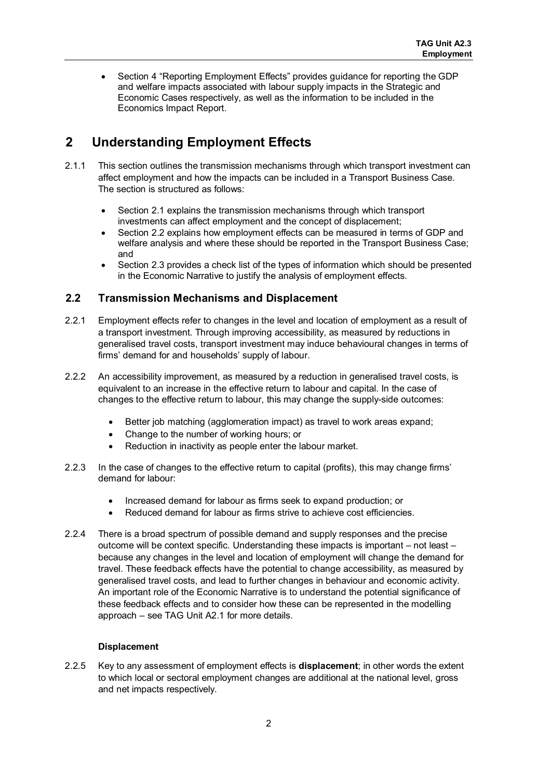• Section 4 "Reporting Employment Effects" provides guidance for reporting the GDP and welfare impacts associated with labour supply impacts in the Strategic and Economic Cases respectively, as well as the information to be included in the Economics Impact Report.

## <span id="page-3-0"></span>**2 Understanding Employment Effects**

- 2.1.1 This section outlines the transmission mechanisms through which transport investment can affect employment and how the impacts can be included in a Transport Business Case. The section is structured as follows:
	- Section 2.1 explains the transmission mechanisms through which transport investments can affect employment and the concept of displacement;
	- Section 2.2 explains how employment effects can be measured in terms of GDP and welfare analysis and where these should be reported in the Transport Business Case; and
	- Section 2.3 provides a check list of the types of information which should be presented in the Economic Narrative to justify the analysis of employment effects.

#### <span id="page-3-1"></span>**2.2 Transmission Mechanisms and Displacement**

- 2.2.1 Employment effects refer to changes in the level and location of employment as a result of a transport investment. Through improving accessibility, as measured by reductions in generalised travel costs, transport investment may induce behavioural changes in terms of firms' demand for and households' supply of labour.
- 2.2.2 An accessibility improvement, as measured by a reduction in generalised travel costs, is equivalent to an increase in the effective return to labour and capital. In the case of changes to the effective return to labour, this may change the supply-side outcomes:
	- Better job matching (agglomeration impact) as travel to work areas expand;
	- Change to the number of working hours; or
	- Reduction in inactivity as people enter the labour market.
- 2.2.3 In the case of changes to the effective return to capital (profits), this may change firms' demand for labour:
	- Increased demand for labour as firms seek to expand production; or
	- Reduced demand for labour as firms strive to achieve cost efficiencies.
- 2.2.4 There is a broad spectrum of possible demand and supply responses and the precise outcome will be context specific. Understanding these impacts is important – not least – because any changes in the level and location of employment will change the demand for travel. These feedback effects have the potential to change accessibility, as measured by generalised travel costs, and lead to further changes in behaviour and economic activity. An important role of the Economic Narrative is to understand the potential significance of these feedback effects and to consider how these can be represented in the modelling approach – see TAG Unit A2.1 for more details.

#### **Displacement**

2.2.5 Key to any assessment of employment effects is **displacement**; in other words the extent to which local or sectoral employment changes are additional at the national level, gross and net impacts respectively.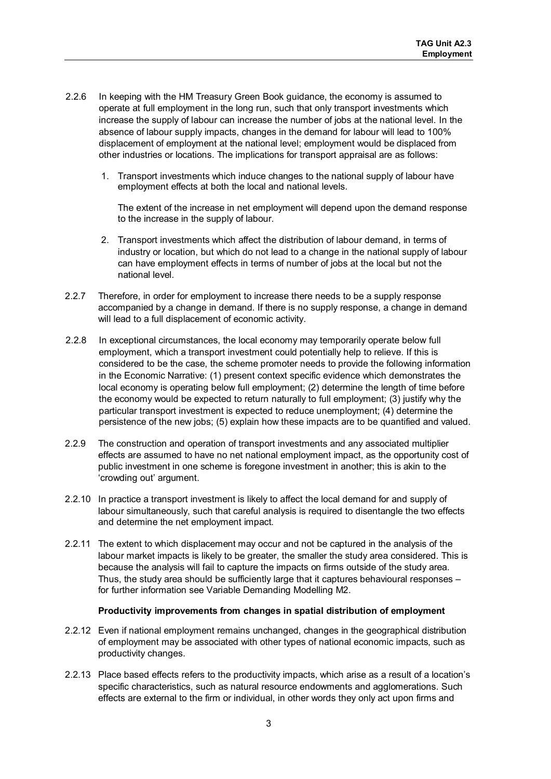- 2.2.6 In keeping with the HM Treasury Green Book guidance, the economy is assumed to operate at full employment in the long run, such that only transport investments which increase the supply of labour can increase the number of jobs at the national level. In the absence of labour supply impacts, changes in the demand for labour will lead to 100% displacement of employment at the national level; employment would be displaced from other industries or locations. The implications for transport appraisal are as follows:
	- 1. Transport investments which induce changes to the national supply of labour have employment effects at both the local and national levels.

The extent of the increase in net employment will depend upon the demand response to the increase in the supply of labour.

- 2. Transport investments which affect the distribution of labour demand, in terms of industry or location, but which do not lead to a change in the national supply of labour can have employment effects in terms of number of jobs at the local but not the national level.
- 2.2.7 Therefore, in order for employment to increase there needs to be a supply response accompanied by a change in demand. If there is no supply response, a change in demand will lead to a full displacement of economic activity.
- 2.2.8 In exceptional circumstances, the local economy may temporarily operate below full employment, which a transport investment could potentially help to relieve. If this is considered to be the case, the scheme promoter needs to provide the following information in the Economic Narrative: (1) present context specific evidence which demonstrates the local economy is operating below full employment; (2) determine the length of time before the economy would be expected to return naturally to full employment; (3) justify why the particular transport investment is expected to reduce unemployment; (4) determine the persistence of the new jobs; (5) explain how these impacts are to be quantified and valued.
- 2.2.9 The construction and operation of transport investments and any associated multiplier effects are assumed to have no net national employment impact, as the opportunity cost of public investment in one scheme is foregone investment in another; this is akin to the 'crowding out' argument.
- 2.2.10 In practice a transport investment is likely to affect the local demand for and supply of labour simultaneously, such that careful analysis is required to disentangle the two effects and determine the net employment impact.
- 2.2.11 The extent to which displacement may occur and not be captured in the analysis of the labour market impacts is likely to be greater, the smaller the study area considered. This is because the analysis will fail to capture the impacts on firms outside of the study area. Thus, the study area should be sufficiently large that it captures behavioural responses – for further information see Variable Demanding Modelling M2.

#### **Productivity improvements from changes in spatial distribution of employment**

- 2.2.12 Even if national employment remains unchanged, changes in the geographical distribution of employment may be associated with other types of national economic impacts, such as productivity changes.
- 2.2.13 Place based effects refers to the productivity impacts, which arise as a result of a location's specific characteristics, such as natural resource endowments and agglomerations. Such effects are external to the firm or individual, in other words they only act upon firms and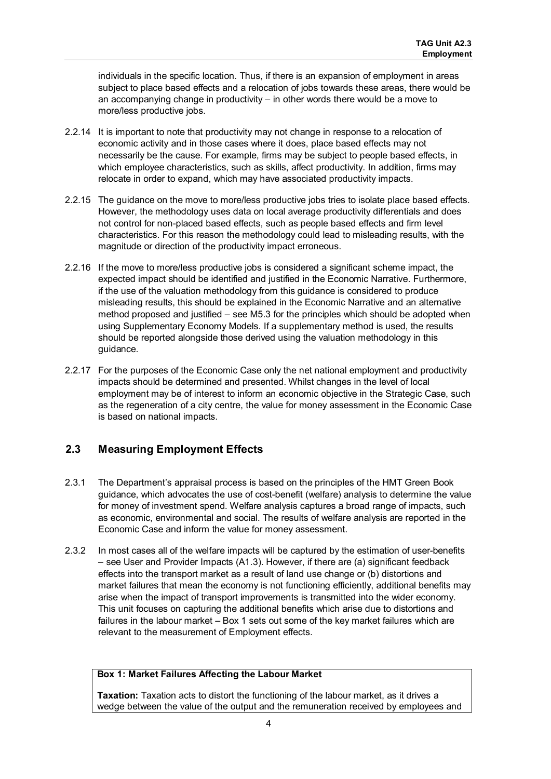individuals in the specific location. Thus, if there is an expansion of employment in areas subject to place based effects and a relocation of jobs towards these areas, there would be an accompanying change in productivity – in other words there would be a move to more/less productive jobs.

- 2.2.14 It is important to note that productivity may not change in response to a relocation of economic activity and in those cases where it does, place based effects may not necessarily be the cause. For example, firms may be subject to people based effects, in which employee characteristics, such as skills, affect productivity. In addition, firms may relocate in order to expand, which may have associated productivity impacts.
- 2.2.15 The guidance on the move to more/less productive jobs tries to isolate place based effects. However, the methodology uses data on local average productivity differentials and does not control for non-placed based effects, such as people based effects and firm level characteristics. For this reason the methodology could lead to misleading results, with the magnitude or direction of the productivity impact erroneous.
- 2.2.16 If the move to more/less productive jobs is considered a significant scheme impact, the expected impact should be identified and justified in the Economic Narrative. Furthermore, if the use of the valuation methodology from this guidance is considered to produce misleading results, this should be explained in the Economic Narrative and an alternative method proposed and justified – see M5.3 for the principles which should be adopted when using Supplementary Economy Models. If a supplementary method is used, the results should be reported alongside those derived using the valuation methodology in this guidance.
- 2.2.17 For the purposes of the Economic Case only the net national employment and productivity impacts should be determined and presented. Whilst changes in the level of local employment may be of interest to inform an economic objective in the Strategic Case, such as the regeneration of a city centre, the value for money assessment in the Economic Case is based on national impacts.

#### <span id="page-5-0"></span>**2.3 Measuring Employment Effects**

- 2.3.1 The Department's appraisal process is based on the principles of the HMT Green Book guidance, which advocates the use of cost-benefit (welfare) analysis to determine the value for money of investment spend. Welfare analysis captures a broad range of impacts, such as economic, environmental and social. The results of welfare analysis are reported in the Economic Case and inform the value for money assessment.
- 2.3.2 In most cases all of the welfare impacts will be captured by the estimation of user-benefits – see User and Provider Impacts (A1.3). However, if there are (a) significant feedback effects into the transport market as a result of land use change or (b) distortions and market failures that mean the economy is not functioning efficiently, additional benefits may arise when the impact of transport improvements is transmitted into the wider economy. This unit focuses on capturing the additional benefits which arise due to distortions and failures in the labour market – Box 1 sets out some of the key market failures which are relevant to the measurement of Employment effects.

#### **Box 1: Market Failures Affecting the Labour Market**

**Taxation:** Taxation acts to distort the functioning of the labour market, as it drives a wedge between the value of the output and the remuneration received by employees and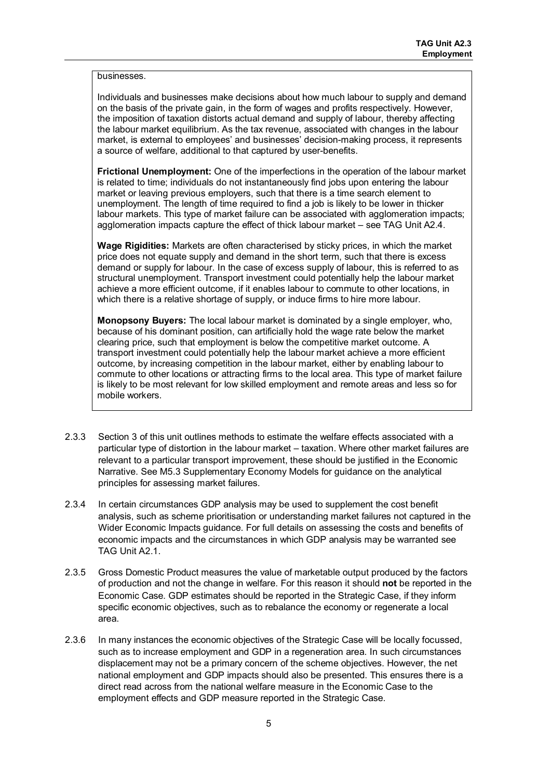#### businesses.

Individuals and businesses make decisions about how much labour to supply and demand on the basis of the private gain, in the form of wages and profits respectively. However, the imposition of taxation distorts actual demand and supply of labour, thereby affecting the labour market equilibrium. As the tax revenue, associated with changes in the labour market, is external to employees' and businesses' decision-making process, it represents a source of welfare, additional to that captured by user-benefits.

**Frictional Unemployment:** One of the imperfections in the operation of the labour market is related to time; individuals do not instantaneously find jobs upon entering the labour market or leaving previous employers, such that there is a time search element to unemployment. The length of time required to find a job is likely to be lower in thicker labour markets. This type of market failure can be associated with agglomeration impacts; agglomeration impacts capture the effect of thick labour market – see TAG Unit A2.4.

**Wage Rigidities:** Markets are often characterised by sticky prices, in which the market price does not equate supply and demand in the short term, such that there is excess demand or supply for labour. In the case of excess supply of labour, this is referred to as structural unemployment. Transport investment could potentially help the labour market achieve a more efficient outcome, if it enables labour to commute to other locations, in which there is a relative shortage of supply, or induce firms to hire more labour.

**Monopsony Buyers:** The local labour market is dominated by a single employer, who, because of his dominant position, can artificially hold the wage rate below the market clearing price, such that employment is below the competitive market outcome. A transport investment could potentially help the labour market achieve a more efficient outcome, by increasing competition in the labour market, either by enabling labour to commute to other locations or attracting firms to the local area. This type of market failure is likely to be most relevant for low skilled employment and remote areas and less so for mobile workers.

- 2.3.3 Section 3 of this unit outlines methods to estimate the welfare effects associated with a particular type of distortion in the labour market – taxation. Where other market failures are relevant to a particular transport improvement, these should be justified in the Economic Narrative. See M5.3 Supplementary Economy Models for guidance on the analytical principles for assessing market failures.
- 2.3.4 In certain circumstances GDP analysis may be used to supplement the cost benefit analysis, such as scheme prioritisation or understanding market failures not captured in the Wider Economic Impacts guidance. For full details on assessing the costs and benefits of economic impacts and the circumstances in which GDP analysis may be warranted see TAG Unit A2.1.
- 2.3.5 Gross Domestic Product measures the value of marketable output produced by the factors of production and not the change in welfare. For this reason it should **not** be reported in the Economic Case. GDP estimates should be reported in the Strategic Case, if they inform specific economic objectives, such as to rebalance the economy or regenerate a local area.
- 2.3.6 In many instances the economic objectives of the Strategic Case will be locally focussed, such as to increase employment and GDP in a regeneration area. In such circumstances displacement may not be a primary concern of the scheme objectives. However, the net national employment and GDP impacts should also be presented. This ensures there is a direct read across from the national welfare measure in the Economic Case to the employment effects and GDP measure reported in the Strategic Case.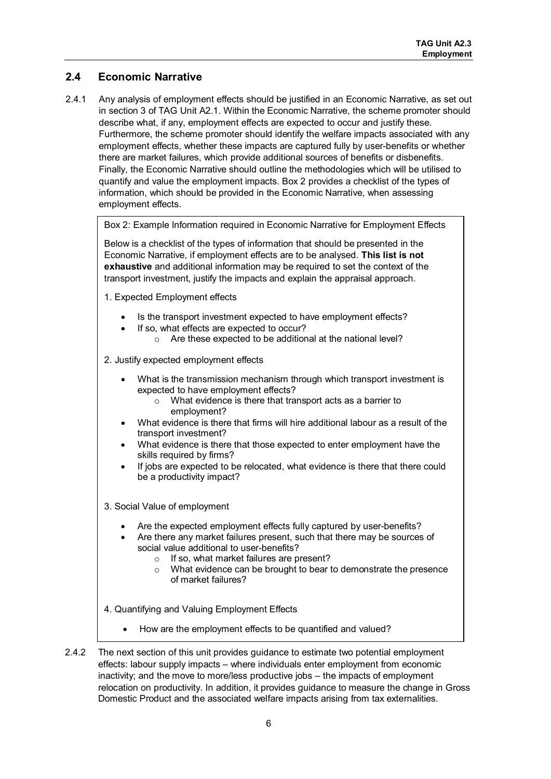#### <span id="page-7-0"></span>**2.4 Economic Narrative**

2.4.1 Any analysis of employment effects should be justified in an Economic Narrative, as set out in section 3 of TAG Unit A2.1. Within the Economic Narrative, the scheme promoter should describe what, if any, employment effects are expected to occur and justify these. Furthermore, the scheme promoter should identify the welfare impacts associated with any employment effects, whether these impacts are captured fully by user-benefits or whether there are market failures, which provide additional sources of benefits or disbenefits. Finally, the Economic Narrative should outline the methodologies which will be utilised to quantify and value the employment impacts. Box 2 provides a checklist of the types of information, which should be provided in the Economic Narrative, when assessing employment effects.

Box 2: Example Information required in Economic Narrative for Employment Effects

Below is a checklist of the types of information that should be presented in the Economic Narrative, if employment effects are to be analysed. **This list is not exhaustive** and additional information may be required to set the context of the transport investment, justify the impacts and explain the appraisal approach.

- 1. Expected Employment effects
	- Is the transport investment expected to have employment effects?
	- If so, what effects are expected to occur?
		- o Are these expected to be additional at the national level?

2. Justify expected employment effects

- What is the transmission mechanism through which transport investment is expected to have employment effects?
	- o What evidence is there that transport acts as a barrier to employment?
- What evidence is there that firms will hire additional labour as a result of the transport investment?
- What evidence is there that those expected to enter employment have the skills required by firms?
- If jobs are expected to be relocated, what evidence is there that there could be a productivity impact?
- 3. Social Value of employment
	- Are the expected employment effects fully captured by user-benefits?
	- Are there any market failures present, such that there may be sources of social value additional to user-benefits?
		- o If so, what market failures are present?
		- o What evidence can be brought to bear to demonstrate the presence of market failures?
- 4. Quantifying and Valuing Employment Effects
	- How are the employment effects to be quantified and valued?
- 2.4.2 The next section of this unit provides guidance to estimate two potential employment effects: labour supply impacts – where individuals enter employment from economic inactivity; and the move to more/less productive jobs – the impacts of employment relocation on productivity. In addition, it provides guidance to measure the change in Gross Domestic Product and the associated welfare impacts arising from tax externalities.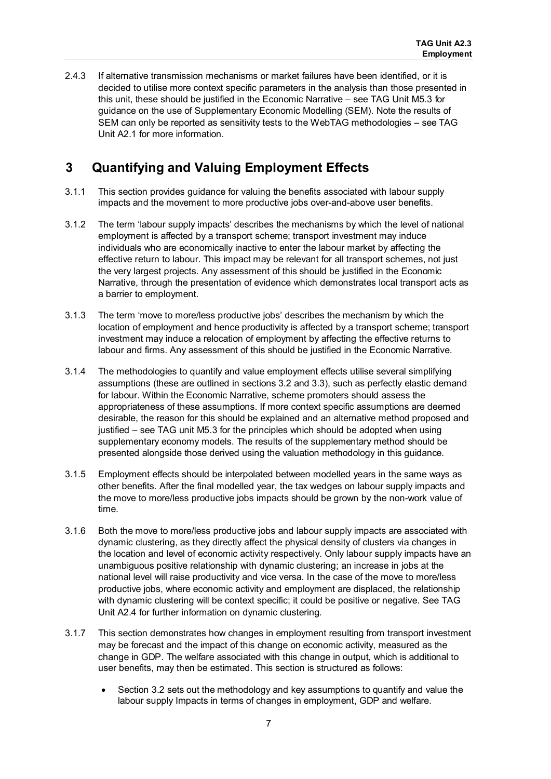2.4.3 If alternative transmission mechanisms or market failures have been identified, or it is decided to utilise more context specific parameters in the analysis than those presented in this unit, these should be justified in the Economic Narrative – see TAG Unit M5.3 for guidance on the use of Supplementary Economic Modelling (SEM). Note the results of SEM can only be reported as sensitivity tests to the WebTAG methodologies – see TAG Unit A2.1 for more information.

## <span id="page-8-0"></span>**3 Quantifying and Valuing Employment Effects**

- 3.1.1 This section provides guidance for valuing the benefits associated with labour supply impacts and the movement to more productive jobs over-and-above user benefits.
- 3.1.2 The term 'labour supply impacts' describes the mechanisms by which the level of national employment is affected by a transport scheme; transport investment may induce individuals who are economically inactive to enter the labour market by affecting the effective return to labour. This impact may be relevant for all transport schemes, not just the very largest projects. Any assessment of this should be justified in the Economic Narrative, through the presentation of evidence which demonstrates local transport acts as a barrier to employment.
- 3.1.3 The term 'move to more/less productive jobs' describes the mechanism by which the location of employment and hence productivity is affected by a transport scheme; transport investment may induce a relocation of employment by affecting the effective returns to labour and firms. Any assessment of this should be justified in the Economic Narrative.
- 3.1.4 The methodologies to quantify and value employment effects utilise several simplifying assumptions (these are outlined in sections 3.2 and 3.3), such as perfectly elastic demand for labour. Within the Economic Narrative, scheme promoters should assess the appropriateness of these assumptions. If more context specific assumptions are deemed desirable, the reason for this should be explained and an alternative method proposed and justified – see TAG unit M5.3 for the principles which should be adopted when using supplementary economy models. The results of the supplementary method should be presented alongside those derived using the valuation methodology in this guidance.
- 3.1.5 Employment effects should be interpolated between modelled years in the same ways as other benefits. After the final modelled year, the tax wedges on labour supply impacts and the move to more/less productive jobs impacts should be grown by the non-work value of time.
- 3.1.6 Both the move to more/less productive jobs and labour supply impacts are associated with dynamic clustering, as they directly affect the physical density of clusters via changes in the location and level of economic activity respectively. Only labour supply impacts have an unambiguous positive relationship with dynamic clustering; an increase in jobs at the national level will raise productivity and vice versa. In the case of the move to more/less productive jobs, where economic activity and employment are displaced, the relationship with dynamic clustering will be context specific; it could be positive or negative. See TAG Unit A2.4 for further information on dynamic clustering.
- 3.1.7 This section demonstrates how changes in employment resulting from transport investment may be forecast and the impact of this change on economic activity, measured as the change in GDP. The welfare associated with this change in output, which is additional to user benefits, may then be estimated. This section is structured as follows:
	- Section 3.2 sets out the methodology and key assumptions to quantify and value the labour supply Impacts in terms of changes in employment, GDP and welfare.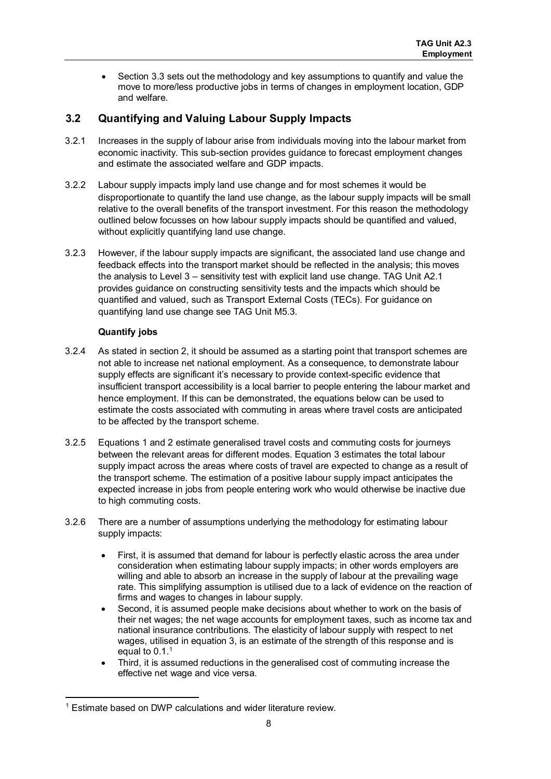• Section 3.3 sets out the methodology and key assumptions to quantify and value the move to more/less productive jobs in terms of changes in employment location, GDP and welfare.

#### <span id="page-9-0"></span>**3.2 Quantifying and Valuing Labour Supply Impacts**

- 3.2.1 Increases in the supply of labour arise from individuals moving into the labour market from economic inactivity. This sub-section provides guidance to forecast employment changes and estimate the associated welfare and GDP impacts.
- 3.2.2 Labour supply impacts imply land use change and for most schemes it would be disproportionate to quantify the land use change, as the labour supply impacts will be small relative to the overall benefits of the transport investment. For this reason the methodology outlined below focusses on how labour supply impacts should be quantified and valued, without explicitly quantifying land use change.
- 3.2.3 However, if the labour supply impacts are significant, the associated land use change and feedback effects into the transport market should be reflected in the analysis; this moves the analysis to Level 3 – sensitivity test with explicit land use change. TAG Unit A2.1 provides guidance on constructing sensitivity tests and the impacts which should be quantified and valued, such as Transport External Costs (TECs). For guidance on quantifying land use change see TAG Unit M5.3.

#### **Quantify jobs**

- 3.2.4 As stated in section 2, it should be assumed as a starting point that transport schemes are not able to increase net national employment. As a consequence, to demonstrate labour supply effects are significant it's necessary to provide context-specific evidence that insufficient transport accessibility is a local barrier to people entering the labour market and hence employment. If this can be demonstrated, the equations below can be used to estimate the costs associated with commuting in areas where travel costs are anticipated to be affected by the transport scheme.
- 3.2.5 Equations 1 and 2 estimate generalised travel costs and commuting costs for journeys between the relevant areas for different modes. Equation 3 estimates the total labour supply impact across the areas where costs of travel are expected to change as a result of the transport scheme. The estimation of a positive labour supply impact anticipates the expected increase in jobs from people entering work who would otherwise be inactive due to high commuting costs.
- 3.2.6 There are a number of assumptions underlying the methodology for estimating labour supply impacts:
	- First, it is assumed that demand for labour is perfectly elastic across the area under consideration when estimating labour supply impacts; in other words employers are willing and able to absorb an increase in the supply of labour at the prevailing wage rate. This simplifying assumption is utilised due to a lack of evidence on the reaction of firms and wages to changes in labour supply.
	- Second, it is assumed people make decisions about whether to work on the basis of their net wages; the net wage accounts for employment taxes, such as income tax and national insurance contributions. The elasticity of labour supply with respect to net wages, utilised in equation 3, is an estimate of the strength of this response and is equal to 0.[1](#page-9-1).<sup>1</sup>
	- Third, it is assumed reductions in the generalised cost of commuting increase the effective net wage and vice versa.

<span id="page-9-1"></span>**<sup>.</sup>** <sup>1</sup> Estimate based on DWP calculations and wider literature review.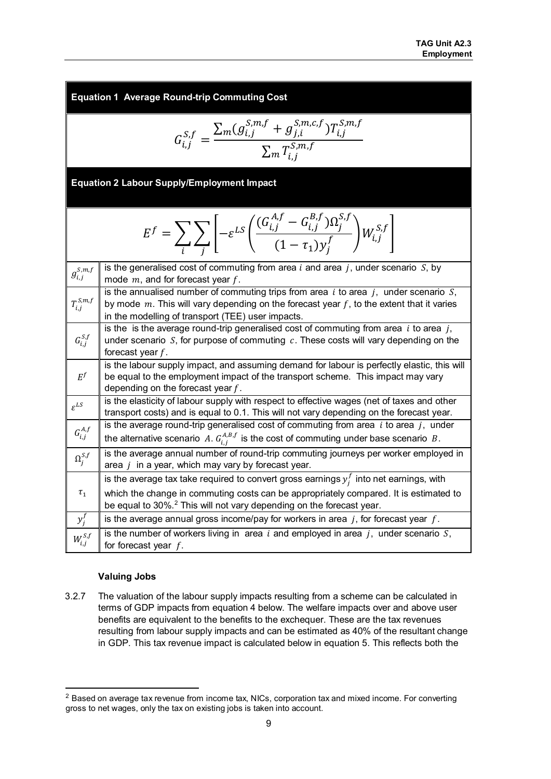**Equation 1 Average Round-trip Commuting Cost** 

$$
G_{i,j}^{S,f} = \frac{\sum_{m}(g_{i,j}^{S,m,f} + g_{j,i}^{S,m,c,f})T_{i,j}^{S,m,f}}{\sum_{m} T_{i,j}^{S,m,f}}
$$

**Equation 2 Labour Supply/Employment Impact**

$$
E^f = \sum_i \sum_j \left[ -\varepsilon^{LS} \left( \frac{(G^{A,f}_{i,j} - G^{B,f}_{i,j}) \Omega^{S,f}_j}{(1 - \tau_1) y_j^f} \right) W^{S,f}_{i,j} \right]
$$

| $g_{i,j}^{s,m,f}$          | is the generalised cost of commuting from area $i$ and area $j$ , under scenario $S$ , by<br>mode $m$ , and for forecast year $f$ .                                                                                                                                     |
|----------------------------|-------------------------------------------------------------------------------------------------------------------------------------------------------------------------------------------------------------------------------------------------------------------------|
| $T_{i,j}^{\mathit{S},m,f}$ | is the annualised number of commuting trips from area $i$ to area $j$ , under scenario $S$ ,<br>by mode $m$ . This will vary depending on the forecast year $f$ , to the extent that it varies<br>in the modelling of transport (TEE) user impacts.                     |
| $G_{i,j}^{S,f}$            | is the is the average round-trip generalised cost of commuting from area $i$ to area $j$ ,<br>under scenario $S$ , for purpose of commuting $c$ . These costs will vary depending on the<br>forecast year $f$ .                                                         |
| $E^f$                      | is the labour supply impact, and assuming demand for labour is perfectly elastic, this will<br>be equal to the employment impact of the transport scheme. This impact may vary<br>depending on the forecast year $f$ .                                                  |
| $\varepsilon^{LS}$         | is the elasticity of labour supply with respect to effective wages (net of taxes and other<br>transport costs) and is equal to 0.1. This will not vary depending on the forecast year.                                                                                  |
| $G_{i,j}^{A,f}$            | is the average round-trip generalised cost of commuting from area $i$ to area $j$ , under<br>the alternative scenario A. $G_{i}^{A,B,f}$ is the cost of commuting under base scenario B.                                                                                |
| $\Omega_j^{S,f}$           | is the average annual number of round-trip commuting journeys per worker employed in<br>area $j$ in a year, which may vary by forecast year.                                                                                                                            |
| $\tau_{1}$                 | is the average tax take required to convert gross earnings $y_i^I$ into net earnings, with<br>which the change in commuting costs can be appropriately compared. It is estimated to<br>be equal to 30%. <sup>2</sup> This will not vary depending on the forecast year. |
| $y_i^f$                    | is the average annual gross income/pay for workers in area $j$ , for forecast year $f$ .                                                                                                                                                                                |
| $W_{i,j}^{S,f}$            | is the number of workers living in area i and employed in area $j$ , under scenario $S$ ,<br>for forecast year $f$ .                                                                                                                                                    |

#### **Valuing Jobs**

1

3.2.7 The valuation of the labour supply impacts resulting from a scheme can be calculated in terms of GDP impacts from equation 4 below. The welfare impacts over and above user benefits are equivalent to the benefits to the exchequer. These are the tax revenues resulting from labour supply impacts and can be estimated as 40% of the resultant change in GDP. This tax revenue impact is calculated below in equation 5. This reflects both the

<span id="page-10-0"></span> $2$  Based on average tax revenue from income tax, NICs, corporation tax and mixed income. For converting gross to net wages, only the tax on existing jobs is taken into account.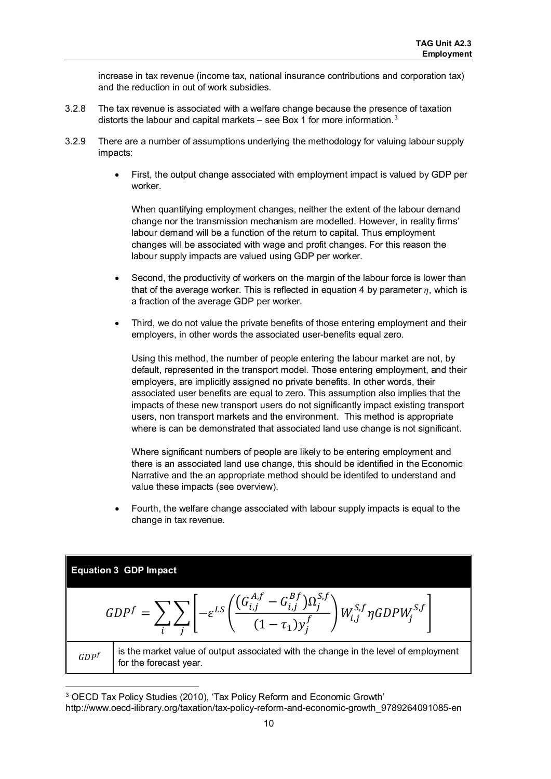increase in tax revenue (income tax, national insurance contributions and corporation tax) and the reduction in out of work subsidies.

- 3.2.8 The tax revenue is associated with a welfare change because the presence of taxation distorts the labour and capital markets – see Box 1 for more information.<sup>[3](#page-11-0)</sup>
- 3.2.9 There are a number of assumptions underlying the methodology for valuing labour supply impacts:
	- First, the output change associated with employment impact is valued by GDP per worker.

When quantifying employment changes, neither the extent of the labour demand change nor the transmission mechanism are modelled. However, in reality firms' labour demand will be a function of the return to capital. Thus employment changes will be associated with wage and profit changes. For this reason the labour supply impacts are valued using GDP per worker.

- Second, the productivity of workers on the margin of the labour force is lower than that of the average worker. This is reflected in equation 4 by parameter  $\eta$ , which is a fraction of the average GDP per worker.
- Third, we do not value the private benefits of those entering employment and their employers, in other words the associated user-benefits equal zero.

Using this method, the number of people entering the labour market are not, by default, represented in the transport model. Those entering employment, and their employers, are implicitly assigned no private benefits. In other words, their associated user benefits are equal to zero. This assumption also implies that the impacts of these new transport users do not significantly impact existing transport users, non transport markets and the environment. This method is appropriate where is can be demonstrated that associated land use change is not significant.

Where significant numbers of people are likely to be entering employment and there is an associated land use change, this should be identified in the Economic Narrative and the an appropriate method should be identifed to understand and value these impacts (see overview).

• Fourth, the welfare change associated with labour supply impacts is equal to the change in tax revenue.

Equation 3 GDP Impact  
\n
$$
GDP^f = \sum_i \sum_j \left[ -\varepsilon^{LS} \left( \frac{G_{i,j}^{A,f} - G_{i,j}^{Bf}) \Omega_j^{S,f}}{(1 - \tau_1) y_j^f} \right) W_{i,j}^{S,f} \eta GDP W_j^{S,f} \right]
$$
\n
$$
GDP^f
$$
\nis the market value of output associated with the change in the level of employment for the forecast year.

1

<span id="page-11-0"></span><sup>3</sup> OECD Tax Policy Studies (2010), 'Tax Policy Reform and Economic Growth' http://www.oecd-ilibrary.org/taxation/tax-policy-reform-and-economic-growth\_9789264091085-en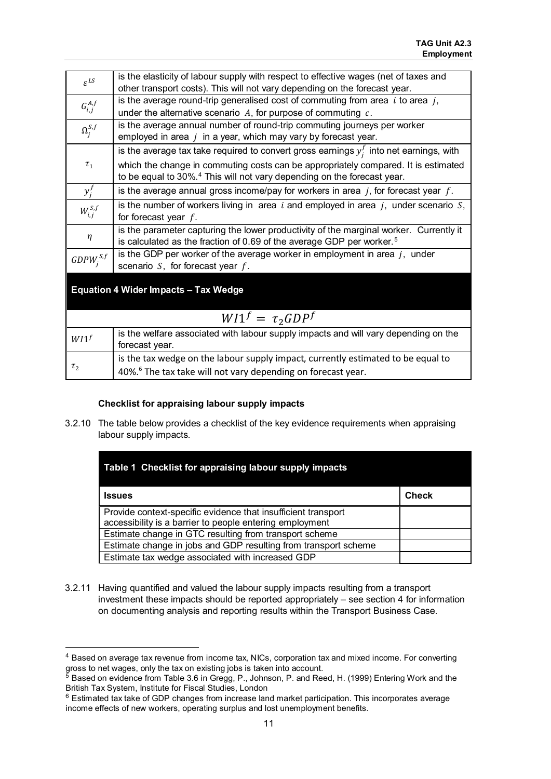| $\varepsilon^{LS}$                 | is the elasticity of labour supply with respect to effective wages (net of taxes and        |
|------------------------------------|---------------------------------------------------------------------------------------------|
|                                    | other transport costs). This will not vary depending on the forecast year.                  |
| $G_{i,j}^{\scriptscriptstyle A,f}$ | is the average round-trip generalised cost of commuting from area $i$ to area $j$ ,         |
|                                    | under the alternative scenario $A$ , for purpose of commuting $c$ .                         |
| $\Omega^{S,f}_i$                   | is the average annual number of round-trip commuting journeys per worker                    |
|                                    | employed in area $j$ in a year, which may vary by forecast year.                            |
|                                    | is the average tax take required to convert gross earnings $y_i^f$ into net earnings, with  |
| $\tau_{1}$                         | which the change in commuting costs can be appropriately compared. It is estimated          |
|                                    | to be equal to 30%. <sup>4</sup> This will not vary depending on the forecast year.         |
| $y_i^j$                            | is the average annual gross income/pay for workers in area $j$ , for forecast year $f$ .    |
|                                    | is the number of workers living in area $i$ and employed in area $j$ , under scenario $S$ , |
| $W_{i,j}^{S,f}$                    | for forecast year $f$ .                                                                     |
|                                    | is the parameter capturing the lower productivity of the marginal worker. Currently it      |
| η                                  | is calculated as the fraction of 0.69 of the average GDP per worker. <sup>5</sup>           |
| $GDPW_{i}^{S,f}$                   | is the GDP per worker of the average worker in employment in area $j$ , under               |
|                                    | scenario $S$ , for forecast year $f$ .                                                      |
|                                    |                                                                                             |

#### **Equation 4 Wider Impacts – Tax Wedge**

1

|                     | $W11^f = \tau_2 GDP^f$                                                                                                                                       |
|---------------------|--------------------------------------------------------------------------------------------------------------------------------------------------------------|
| WI                  | is the welfare associated with labour supply impacts and will vary depending on the<br>forecast year.                                                        |
| $\tau$ <sub>2</sub> | is the tax wedge on the labour supply impact, currently estimated to be equal to<br>40%. <sup>6</sup> The tax take will not vary depending on forecast year. |

#### **Checklist for appraising labour supply impacts**

3.2.10 The table below provides a checklist of the key evidence requirements when appraising labour supply impacts.

| Table 1 Checklist for appraising labour supply impacts          |              |
|-----------------------------------------------------------------|--------------|
| Issues                                                          | <b>Check</b> |
| Provide context-specific evidence that insufficient transport   |              |
| accessibility is a barrier to people entering employment        |              |
| Estimate change in GTC resulting from transport scheme          |              |
| Estimate change in jobs and GDP resulting from transport scheme |              |
| Estimate tax wedge associated with increased GDP                |              |

3.2.11 Having quantified and valued the labour supply impacts resulting from a transport investment these impacts should be reported appropriately – see section 4 for information on documenting analysis and reporting results within the Transport Business Case.

<span id="page-12-0"></span><sup>4</sup> Based on average tax revenue from income tax, NICs, corporation tax and mixed income. For converting gross to net wages, only the tax on existing jobs is taken into account.

<span id="page-12-1"></span> $5$  Based on evidence from Table 3.6 in Gregg, P., Johnson, P. and Reed, H. (1999) Entering Work and the British Tax System, Institute for Fiscal Studies, London

<span id="page-12-2"></span><sup>&</sup>lt;sup>6</sup> Estimated tax take of GDP changes from increase land market participation. This incorporates average income effects of new workers, operating surplus and lost unemployment benefits.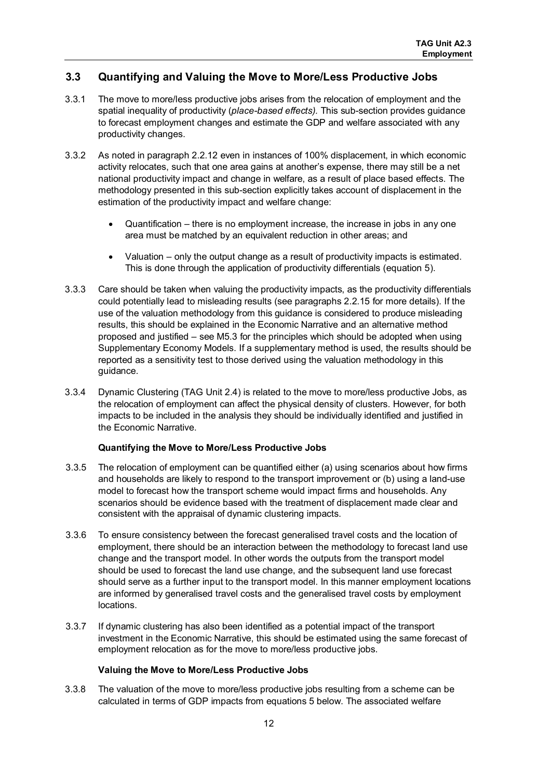#### <span id="page-13-0"></span>**3.3 Quantifying and Valuing the Move to More/Less Productive Jobs**

- 3.3.1 The move to more/less productive jobs arises from the relocation of employment and the spatial inequality of productivity (*place-based effects).* This sub-section provides guidance to forecast employment changes and estimate the GDP and welfare associated with any productivity changes.
- 3.3.2 As noted in paragraph 2.2.12 even in instances of 100% displacement, in which economic activity relocates, such that one area gains at another's expense, there may still be a net national productivity impact and change in welfare, as a result of place based effects. The methodology presented in this sub-section explicitly takes account of displacement in the estimation of the productivity impact and welfare change:
	- Quantification there is no employment increase, the increase in jobs in any one area must be matched by an equivalent reduction in other areas; and
	- Valuation only the output change as a result of productivity impacts is estimated. This is done through the application of productivity differentials (equation 5).
- 3.3.3 Care should be taken when valuing the productivity impacts, as the productivity differentials could potentially lead to misleading results (see paragraphs 2.2.15 for more details). If the use of the valuation methodology from this guidance is considered to produce misleading results, this should be explained in the Economic Narrative and an alternative method proposed and justified – see M5.3 for the principles which should be adopted when using Supplementary Economy Models. If a supplementary method is used, the results should be reported as a sensitivity test to those derived using the valuation methodology in this guidance.
- 3.3.4 Dynamic Clustering (TAG Unit 2.4) is related to the move to more/less productive Jobs, as the relocation of employment can affect the physical density of clusters. However, for both impacts to be included in the analysis they should be individually identified and justified in the Economic Narrative.

#### **Quantifying the Move to More/Less Productive Jobs**

- 3.3.5 The relocation of employment can be quantified either (a) using scenarios about how firms and households are likely to respond to the transport improvement or (b) using a land-use model to forecast how the transport scheme would impact firms and households. Any scenarios should be evidence based with the treatment of displacement made clear and consistent with the appraisal of dynamic clustering impacts.
- 3.3.6 To ensure consistency between the forecast generalised travel costs and the location of employment, there should be an interaction between the methodology to forecast land use change and the transport model. In other words the outputs from the transport model should be used to forecast the land use change, and the subsequent land use forecast should serve as a further input to the transport model. In this manner employment locations are informed by generalised travel costs and the generalised travel costs by employment locations.
- 3.3.7 If dynamic clustering has also been identified as a potential impact of the transport investment in the Economic Narrative, this should be estimated using the same forecast of employment relocation as for the move to more/less productive jobs.

#### **Valuing the Move to More/Less Productive Jobs**

3.3.8 The valuation of the move to more/less productive jobs resulting from a scheme can be calculated in terms of GDP impacts from equations 5 below. The associated welfare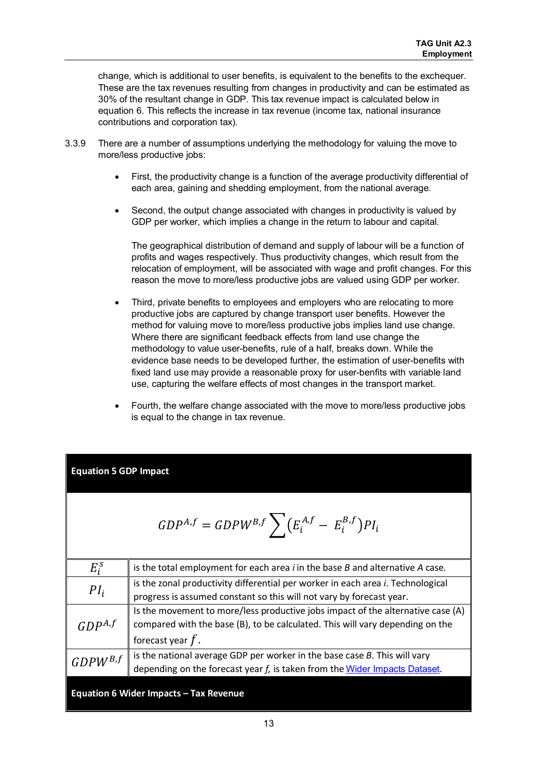change, which is additional to user benefits, is equivalent to the benefits to the exchequer. These are the tax revenues resulting from changes in productivity and can be estimated as 30% of the resultant change in GDP. This tax revenue impact is calculated below in equation 6. This reflects the increase in tax revenue (income tax, national insurance contributions and corporation tax).

- 3.3.9 There are a number of assumptions underlying the methodology for valuing the move to more/less productive jobs:
	- First, the productivity change is a function of the average productivity differential of each area, gaining and shedding employment, from the national average.
	- Second, the output change associated with changes in productivity is valued by GDP per worker, which implies a change in the return to labour and capital.

The geographical distribution of demand and supply of labour will be a function of profits and wages respectively. Thus productivity changes, which result from the relocation of employment, will be associated with wage and profit changes. For this reason the move to more/less productive jobs are valued using GDP per worker.

- Third, private benefits to employees and employers who are relocating to more productive jobs are captured by change transport user benefits. However the method for valuing move to more/less productive jobs implies land use change. Where there are significant feedback effects from land use change the methodology to value user-benefits, rule of a half, breaks down. While the evidence base needs to be developed further, the estimation of user-benefits with fixed land use may provide a reasonable proxy for user-benfits with variable land use, capturing the welfare effects of most changes in the transport market.
- Fourth, the welfare change associated with the move to more/less productive jobs is equal to the change in tax revenue.

#### **Equation 5 GDP Impact**

$$
GDP^{A,f} = GDPW^{B,f} \sum (E_i^{A,f} - E_i^{B,f})PI_i
$$

| $E_i^S$      | is the total employment for each area $i$ in the base $B$ and alternative $A$ case.     |
|--------------|-----------------------------------------------------------------------------------------|
| $PI_i$       | is the zonal productivity differential per worker in each area <i>i</i> . Technological |
|              | progress is assumed constant so this will not vary by forecast year.                    |
|              | Is the movement to more/less productive jobs impact of the alternative case (A)         |
| $GDP^{A,f}$  | compared with the base (B), to be calculated. This will vary depending on the           |
|              | forecast year $f$ .                                                                     |
| $GDPW^{B,f}$ | is the national average GDP per worker in the base case $B$ . This will vary            |
|              | depending on the forecast year f, is taken from the Wider Impacts Dataset.              |

#### **Equation 6 Wider Impacts – Tax Revenue**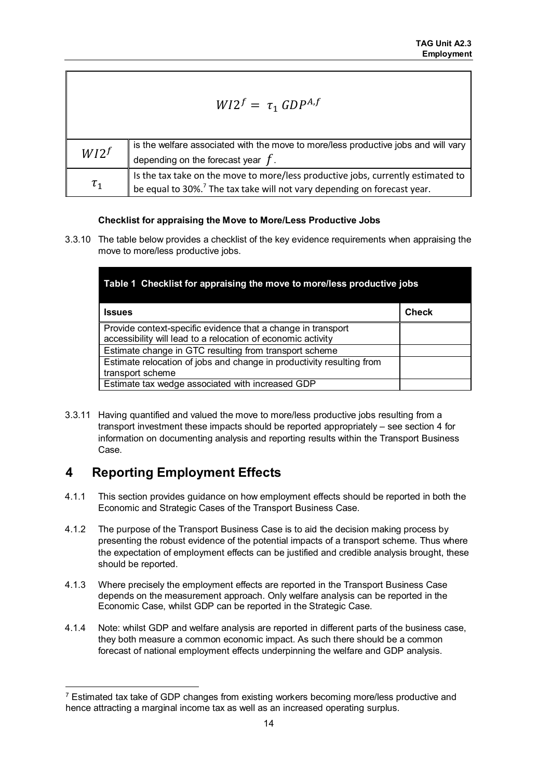| $W12^f = \tau_1 \text{ GDP}^{A,f}$ |                                                                                                                                                                          |  |
|------------------------------------|--------------------------------------------------------------------------------------------------------------------------------------------------------------------------|--|
| $W12^f$                            | is the welfare associated with the move to more/less productive jobs and will vary                                                                                       |  |
|                                    | depending on the forecast year $f$ .                                                                                                                                     |  |
| $\tau_1$                           | Is the tax take on the move to more/less productive jobs, currently estimated to<br>be equal to 30%. <sup>7</sup> The tax take will not vary depending on forecast year. |  |
|                                    |                                                                                                                                                                          |  |

#### **Checklist for appraising the Move to More/Less Productive Jobs**

3.3.10 The table below provides a checklist of the key evidence requirements when appraising the move to more/less productive jobs.

| Table 1 Checklist for appraising the move to more/less productive jobs                                                       |       |  |
|------------------------------------------------------------------------------------------------------------------------------|-------|--|
| <b>Issues</b>                                                                                                                | Check |  |
| Provide context-specific evidence that a change in transport<br>accessibility will lead to a relocation of economic activity |       |  |
| Estimate change in GTC resulting from transport scheme                                                                       |       |  |
| Estimate relocation of jobs and change in productivity resulting from<br>transport scheme                                    |       |  |
| Estimate tax wedge associated with increased GDP                                                                             |       |  |

3.3.11 Having quantified and valued the move to more/less productive jobs resulting from a transport investment these impacts should be reported appropriately – see section 4 for information on documenting analysis and reporting results within the Transport Business Case.

## <span id="page-15-0"></span>**4 Reporting Employment Effects**

1

- 4.1.1 This section provides guidance on how employment effects should be reported in both the Economic and Strategic Cases of the Transport Business Case.
- 4.1.2 The purpose of the Transport Business Case is to aid the decision making process by presenting the robust evidence of the potential impacts of a transport scheme. Thus where the expectation of employment effects can be justified and credible analysis brought, these should be reported.
- 4.1.3 Where precisely the employment effects are reported in the Transport Business Case depends on the measurement approach. Only welfare analysis can be reported in the Economic Case, whilst GDP can be reported in the Strategic Case.
- 4.1.4 Note: whilst GDP and welfare analysis are reported in different parts of the business case, they both measure a common economic impact. As such there should be a common forecast of national employment effects underpinning the welfare and GDP analysis.

<span id="page-15-1"></span><sup>&</sup>lt;sup>7</sup> Estimated tax take of GDP changes from existing workers becoming more/less productive and hence attracting a marginal income tax as well as an increased operating surplus.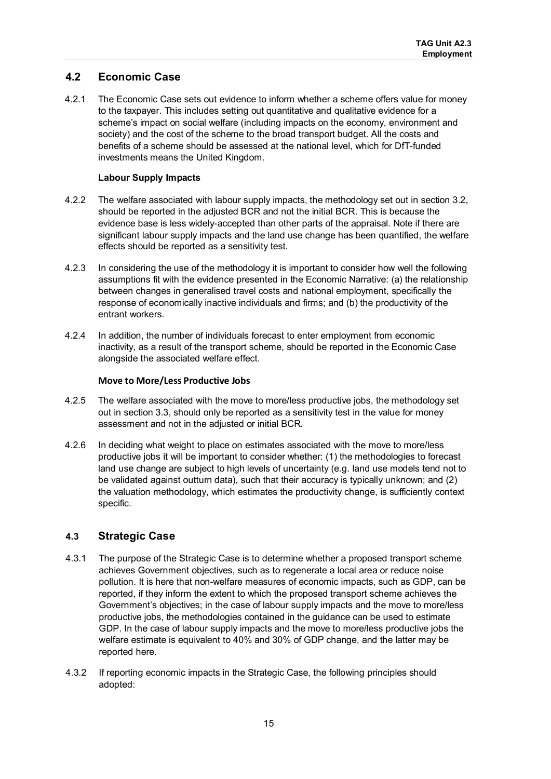#### <span id="page-16-0"></span>**4.2 Economic Case**

4.2.1 The Economic Case sets out evidence to inform whether a scheme offers value for money to the taxpayer. This includes setting out quantitative and qualitative evidence for a scheme's impact on social welfare (including impacts on the economy, environment and society) and the cost of the scheme to the broad transport budget. All the costs and benefits of a scheme should be assessed at the national level, which for DfT-funded investments means the United Kingdom.

#### **Labour Supply Impacts**

- 4.2.2 The welfare associated with labour supply impacts, the methodology set out in section 3.2, should be reported in the adjusted BCR and not the initial BCR. This is because the evidence base is less widely-accepted than other parts of the appraisal. Note if there are significant labour supply impacts and the land use change has been quantified, the welfare effects should be reported as a sensitivity test.
- 4.2.3 In considering the use of the methodology it is important to consider how well the following assumptions fit with the evidence presented in the Economic Narrative: (a) the relationship between changes in generalised travel costs and national employment, specifically the response of economically inactive individuals and firms; and (b) the productivity of the entrant workers.
- 4.2.4 In addition, the number of individuals forecast to enter employment from economic inactivity, as a result of the transport scheme, should be reported in the Economic Case alongside the associated welfare effect.

#### **Move to More/Less Productive Jobs**

- 4.2.5 The welfare associated with the move to more/less productive jobs, the methodology set out in section 3.3, should only be reported as a sensitivity test in the value for money assessment and not in the adjusted or initial BCR.
- 4.2.6 In deciding what weight to place on estimates associated with the move to more/less productive jobs it will be important to consider whether: (1) the methodologies to forecast land use change are subject to high levels of uncertainty (e.g. land use models tend not to be validated against outturn data), such that their accuracy is typically unknown; and (2) the valuation methodology, which estimates the productivity change, is sufficiently context specific.

#### <span id="page-16-1"></span>**4.3 Strategic Case**

- 4.3.1 The purpose of the Strategic Case is to determine whether a proposed transport scheme achieves Government objectives, such as to regenerate a local area or reduce noise pollution. It is here that non-welfare measures of economic impacts, such as GDP, can be reported, if they inform the extent to which the proposed transport scheme achieves the Government's objectives; in the case of labour supply impacts and the move to more/less productive jobs, the methodologies contained in the guidance can be used to estimate GDP. In the case of labour supply impacts and the move to more/less productive jobs the welfare estimate is equivalent to 40% and 30% of GDP change, and the latter may be reported here.
- 4.3.2 If reporting economic impacts in the Strategic Case, the following principles should adopted: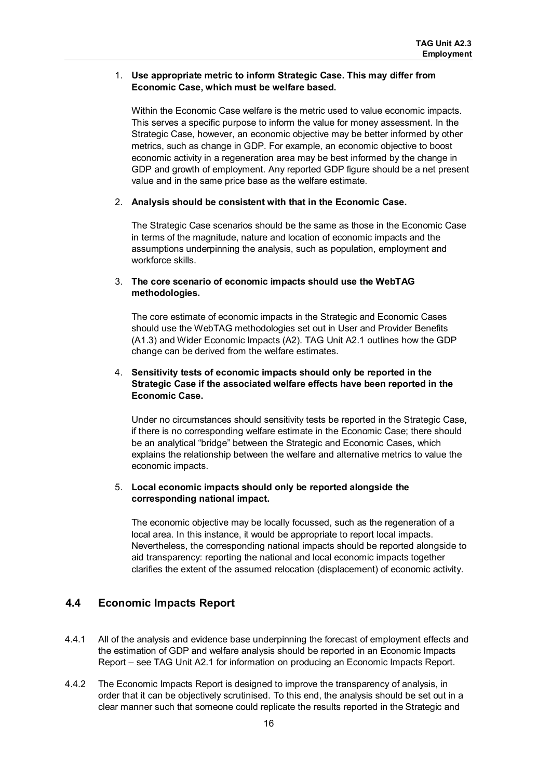#### 1. **Use appropriate metric to inform Strategic Case. This may differ from Economic Case, which must be welfare based.**

Within the Economic Case welfare is the metric used to value economic impacts. This serves a specific purpose to inform the value for money assessment. In the Strategic Case, however, an economic objective may be better informed by other metrics, such as change in GDP. For example, an economic objective to boost economic activity in a regeneration area may be best informed by the change in GDP and growth of employment. Any reported GDP figure should be a net present value and in the same price base as the welfare estimate.

#### 2. **Analysis should be consistent with that in the Economic Case.**

The Strategic Case scenarios should be the same as those in the Economic Case in terms of the magnitude, nature and location of economic impacts and the assumptions underpinning the analysis, such as population, employment and workforce skills.

#### 3. **The core scenario of economic impacts should use the WebTAG methodologies.**

The core estimate of economic impacts in the Strategic and Economic Cases should use the WebTAG methodologies set out in User and Provider Benefits (A1.3) and Wider Economic Impacts (A2). TAG Unit A2.1 outlines how the GDP change can be derived from the welfare estimates.

#### 4. **Sensitivity tests of economic impacts should only be reported in the Strategic Case if the associated welfare effects have been reported in the Economic Case.**

Under no circumstances should sensitivity tests be reported in the Strategic Case, if there is no corresponding welfare estimate in the Economic Case; there should be an analytical "bridge" between the Strategic and Economic Cases, which explains the relationship between the welfare and alternative metrics to value the economic impacts.

#### 5. **Local economic impacts should only be reported alongside the corresponding national impact.**

The economic objective may be locally focussed, such as the regeneration of a local area. In this instance, it would be appropriate to report local impacts. Nevertheless, the corresponding national impacts should be reported alongside to aid transparency: reporting the national and local economic impacts together clarifies the extent of the assumed relocation (displacement) of economic activity.

#### <span id="page-17-0"></span>**4.4 Economic Impacts Report**

- 4.4.1 All of the analysis and evidence base underpinning the forecast of employment effects and the estimation of GDP and welfare analysis should be reported in an Economic Impacts Report – see TAG Unit A2.1 for information on producing an Economic Impacts Report.
- 4.4.2 The Economic Impacts Report is designed to improve the transparency of analysis, in order that it can be objectively scrutinised. To this end, the analysis should be set out in a clear manner such that someone could replicate the results reported in the Strategic and